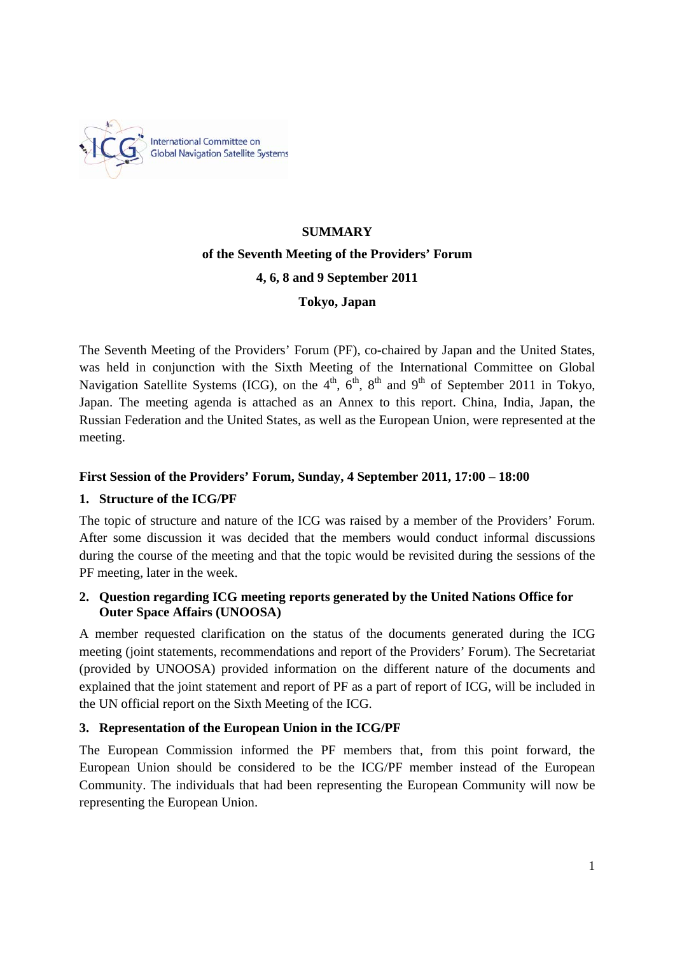

# **SUMMARY of the Seventh Meeting of the Providers' Forum 4, 6, 8 and 9 September 2011 Tokyo, Japan**

The Seventh Meeting of the Providers' Forum (PF), co-chaired by Japan and the United States, was held in conjunction with the Sixth Meeting of the International Committee on Global Navigation Satellite Systems (ICG), on the  $4<sup>th</sup>$ ,  $6<sup>th</sup>$ ,  $8<sup>th</sup>$  and  $9<sup>th</sup>$  of September 2011 in Tokyo, Japan. The meeting agenda is attached as an Annex to this report. China, India, Japan, the Russian Federation and the United States, as well as the European Union, were represented at the meeting.

# **First Session of the Providers' Forum, Sunday, 4 September 2011, 17:00 – 18:00**

# **1. Structure of the ICG/PF**

The topic of structure and nature of the ICG was raised by a member of the Providers' Forum. After some discussion it was decided that the members would conduct informal discussions during the course of the meeting and that the topic would be revisited during the sessions of the PF meeting, later in the week.

# **2. Question regarding ICG meeting reports generated by the United Nations Office for Outer Space Affairs (UNOOSA)**

A member requested clarification on the status of the documents generated during the ICG meeting (joint statements, recommendations and report of the Providers' Forum). The Secretariat (provided by UNOOSA) provided information on the different nature of the documents and explained that the joint statement and report of PF as a part of report of ICG, will be included in the UN official report on the Sixth Meeting of the ICG.

# **3. Representation of the European Union in the ICG/PF**

The European Commission informed the PF members that, from this point forward, the European Union should be considered to be the ICG/PF member instead of the European Community. The individuals that had been representing the European Community will now be representing the European Union.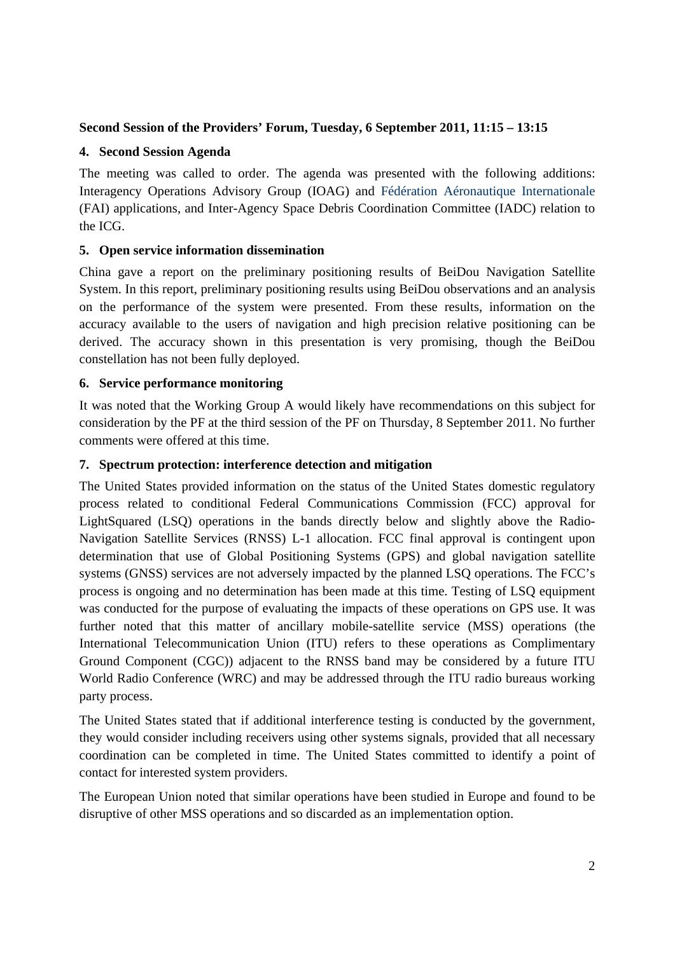## **Second Session of the Providers' Forum, Tuesday, 6 September 2011, 11:15 – 13:15**

#### **4. Second Session Agenda**

The meeting was called to order. The agenda was presented with the following additions: Interagency Operations Advisory Group (IOAG) and Fédération Aéronautique Internationale (FAI) applications, and Inter-Agency Space Debris Coordination Committee (IADC) relation to the ICG.

## **5. Open service information dissemination**

China gave a report on the preliminary positioning results of BeiDou Navigation Satellite System. In this report, preliminary positioning results using BeiDou observations and an analysis on the performance of the system were presented. From these results, information on the accuracy available to the users of navigation and high precision relative positioning can be derived. The accuracy shown in this presentation is very promising, though the BeiDou constellation has not been fully deployed.

## **6. Service performance monitoring**

It was noted that the Working Group A would likely have recommendations on this subject for consideration by the PF at the third session of the PF on Thursday, 8 September 2011. No further comments were offered at this time.

## **7. Spectrum protection: interference detection and mitigation**

The United States provided information on the status of the United States domestic regulatory process related to conditional Federal Communications Commission (FCC) approval for LightSquared (LSQ) operations in the bands directly below and slightly above the Radio-Navigation Satellite Services (RNSS) L-1 allocation. FCC final approval is contingent upon determination that use of Global Positioning Systems (GPS) and global navigation satellite systems (GNSS) services are not adversely impacted by the planned LSQ operations. The FCC's process is ongoing and no determination has been made at this time. Testing of LSQ equipment was conducted for the purpose of evaluating the impacts of these operations on GPS use. It was further noted that this matter of ancillary mobile-satellite service (MSS) operations (the International Telecommunication Union (ITU) refers to these operations as Complimentary Ground Component (CGC)) adjacent to the RNSS band may be considered by a future ITU World Radio Conference (WRC) and may be addressed through the ITU radio bureaus working party process.

The United States stated that if additional interference testing is conducted by the government, they would consider including receivers using other systems signals, provided that all necessary coordination can be completed in time. The United States committed to identify a point of contact for interested system providers.

The European Union noted that similar operations have been studied in Europe and found to be disruptive of other MSS operations and so discarded as an implementation option.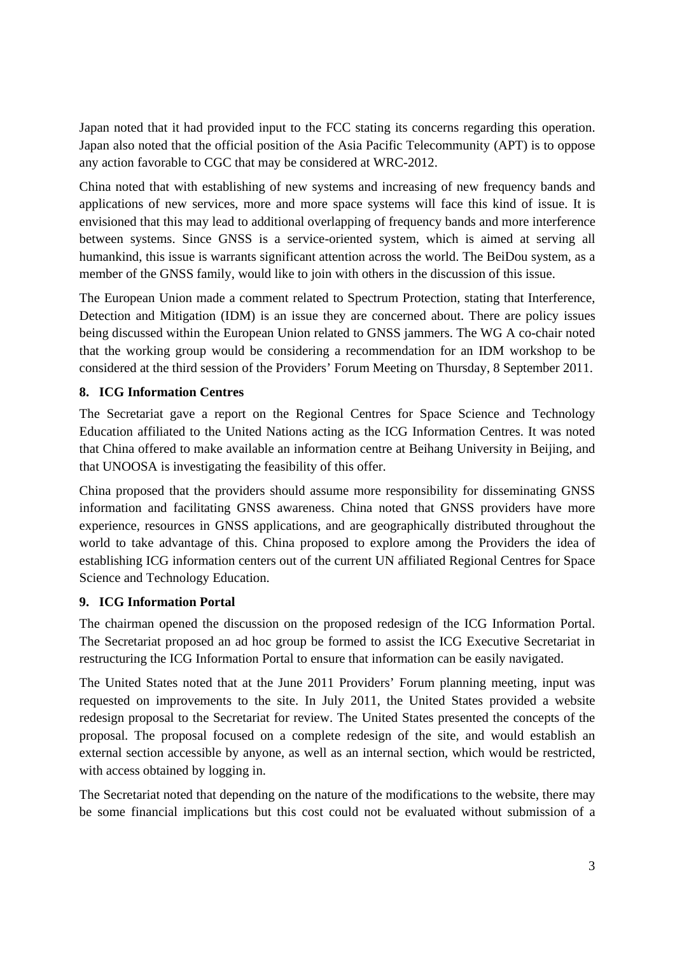Japan noted that it had provided input to the FCC stating its concerns regarding this operation. Japan also noted that the official position of the Asia Pacific Telecommunity (APT) is to oppose any action favorable to CGC that may be considered at WRC-2012.

China noted that with establishing of new systems and increasing of new frequency bands and applications of new services, more and more space systems will face this kind of issue. It is envisioned that this may lead to additional overlapping of frequency bands and more interference between systems. Since GNSS is a service-oriented system, which is aimed at serving all humankind, this issue is warrants significant attention across the world. The BeiDou system, as a member of the GNSS family, would like to join with others in the discussion of this issue.

The European Union made a comment related to Spectrum Protection, stating that Interference, Detection and Mitigation (IDM) is an issue they are concerned about. There are policy issues being discussed within the European Union related to GNSS jammers. The WG A co-chair noted that the working group would be considering a recommendation for an IDM workshop to be considered at the third session of the Providers' Forum Meeting on Thursday, 8 September 2011.

## **8. ICG Information Centres**

The Secretariat gave a report on the Regional Centres for Space Science and Technology Education affiliated to the United Nations acting as the ICG Information Centres. It was noted that China offered to make available an information centre at Beihang University in Beijing, and that UNOOSA is investigating the feasibility of this offer.

China proposed that the providers should assume more responsibility for disseminating GNSS information and facilitating GNSS awareness. China noted that GNSS providers have more experience, resources in GNSS applications, and are geographically distributed throughout the world to take advantage of this. China proposed to explore among the Providers the idea of establishing ICG information centers out of the current UN affiliated Regional Centres for Space Science and Technology Education.

## **9. ICG Information Portal**

The chairman opened the discussion on the proposed redesign of the ICG Information Portal. The Secretariat proposed an ad hoc group be formed to assist the ICG Executive Secretariat in restructuring the ICG Information Portal to ensure that information can be easily navigated.

The United States noted that at the June 2011 Providers' Forum planning meeting, input was requested on improvements to the site. In July 2011, the United States provided a website redesign proposal to the Secretariat for review. The United States presented the concepts of the proposal. The proposal focused on a complete redesign of the site, and would establish an external section accessible by anyone, as well as an internal section, which would be restricted, with access obtained by logging in.

The Secretariat noted that depending on the nature of the modifications to the website, there may be some financial implications but this cost could not be evaluated without submission of a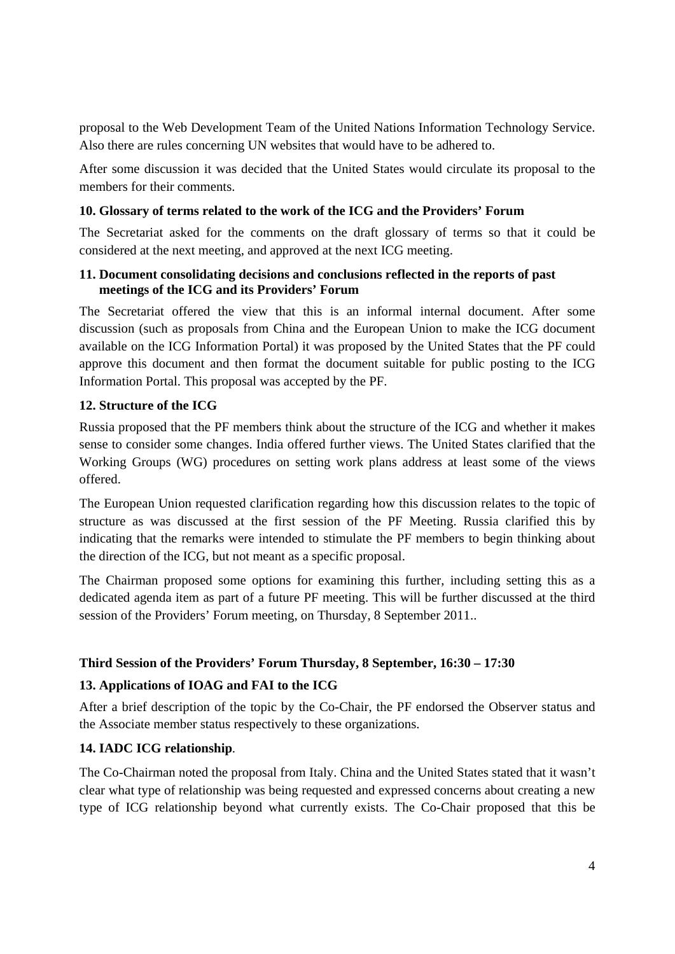proposal to the Web Development Team of the United Nations Information Technology Service. Also there are rules concerning UN websites that would have to be adhered to.

After some discussion it was decided that the United States would circulate its proposal to the members for their comments.

## **10. Glossary of terms related to the work of the ICG and the Providers' Forum**

The Secretariat asked for the comments on the draft glossary of terms so that it could be considered at the next meeting, and approved at the next ICG meeting.

#### **11. Document consolidating decisions and conclusions reflected in the reports of past meetings of the ICG and its Providers' Forum**

The Secretariat offered the view that this is an informal internal document. After some discussion (such as proposals from China and the European Union to make the ICG document available on the ICG Information Portal) it was proposed by the United States that the PF could approve this document and then format the document suitable for public posting to the ICG Information Portal. This proposal was accepted by the PF.

## **12. Structure of the ICG**

Russia proposed that the PF members think about the structure of the ICG and whether it makes sense to consider some changes. India offered further views. The United States clarified that the Working Groups (WG) procedures on setting work plans address at least some of the views offered.

The European Union requested clarification regarding how this discussion relates to the topic of structure as was discussed at the first session of the PF Meeting. Russia clarified this by indicating that the remarks were intended to stimulate the PF members to begin thinking about the direction of the ICG, but not meant as a specific proposal.

The Chairman proposed some options for examining this further, including setting this as a dedicated agenda item as part of a future PF meeting. This will be further discussed at the third session of the Providers' Forum meeting, on Thursday, 8 September 2011..

## **Third Session of the Providers' Forum Thursday, 8 September, 16:30 – 17:30**

#### **13. Applications of IOAG and FAI to the ICG**

After a brief description of the topic by the Co-Chair, the PF endorsed the Observer status and the Associate member status respectively to these organizations.

#### **14. IADC ICG relationship**.

The Co-Chairman noted the proposal from Italy. China and the United States stated that it wasn't clear what type of relationship was being requested and expressed concerns about creating a new type of ICG relationship beyond what currently exists. The Co-Chair proposed that this be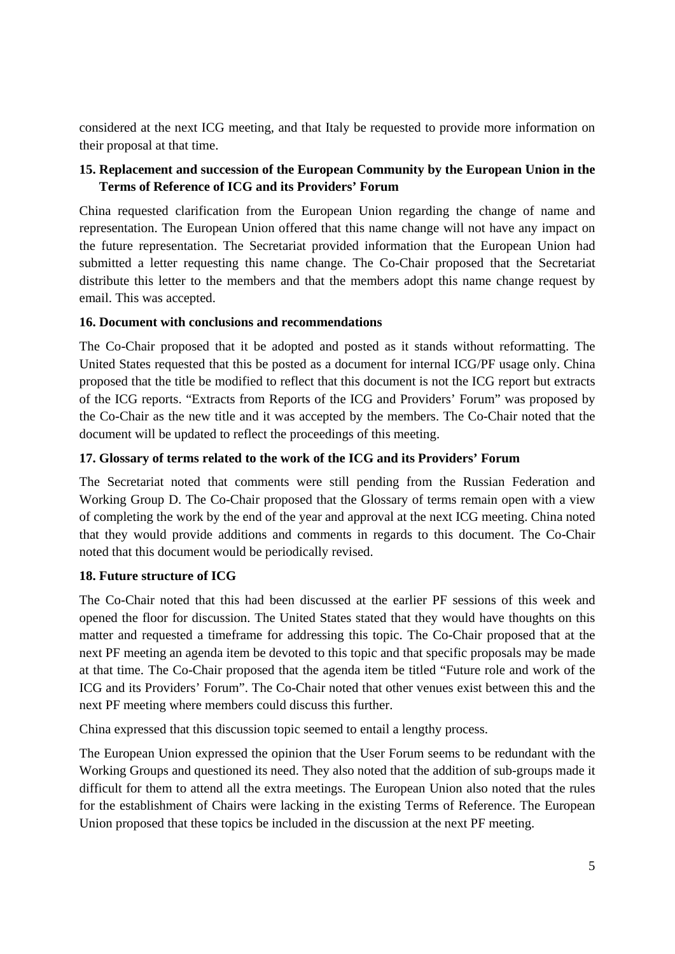considered at the next ICG meeting, and that Italy be requested to provide more information on their proposal at that time.

## **15. Replacement and succession of the European Community by the European Union in the Terms of Reference of ICG and its Providers' Forum**

China requested clarification from the European Union regarding the change of name and representation. The European Union offered that this name change will not have any impact on the future representation. The Secretariat provided information that the European Union had submitted a letter requesting this name change. The Co-Chair proposed that the Secretariat distribute this letter to the members and that the members adopt this name change request by email. This was accepted.

## **16. Document with conclusions and recommendations**

The Co-Chair proposed that it be adopted and posted as it stands without reformatting. The United States requested that this be posted as a document for internal ICG/PF usage only. China proposed that the title be modified to reflect that this document is not the ICG report but extracts of the ICG reports. "Extracts from Reports of the ICG and Providers' Forum" was proposed by the Co-Chair as the new title and it was accepted by the members. The Co-Chair noted that the document will be updated to reflect the proceedings of this meeting.

## **17. Glossary of terms related to the work of the ICG and its Providers' Forum**

The Secretariat noted that comments were still pending from the Russian Federation and Working Group D. The Co-Chair proposed that the Glossary of terms remain open with a view of completing the work by the end of the year and approval at the next ICG meeting. China noted that they would provide additions and comments in regards to this document. The Co-Chair noted that this document would be periodically revised.

#### **18. Future structure of ICG**

The Co-Chair noted that this had been discussed at the earlier PF sessions of this week and opened the floor for discussion. The United States stated that they would have thoughts on this matter and requested a timeframe for addressing this topic. The Co-Chair proposed that at the next PF meeting an agenda item be devoted to this topic and that specific proposals may be made at that time. The Co-Chair proposed that the agenda item be titled "Future role and work of the ICG and its Providers' Forum". The Co-Chair noted that other venues exist between this and the next PF meeting where members could discuss this further.

China expressed that this discussion topic seemed to entail a lengthy process.

The European Union expressed the opinion that the User Forum seems to be redundant with the Working Groups and questioned its need. They also noted that the addition of sub-groups made it difficult for them to attend all the extra meetings. The European Union also noted that the rules for the establishment of Chairs were lacking in the existing Terms of Reference. The European Union proposed that these topics be included in the discussion at the next PF meeting.